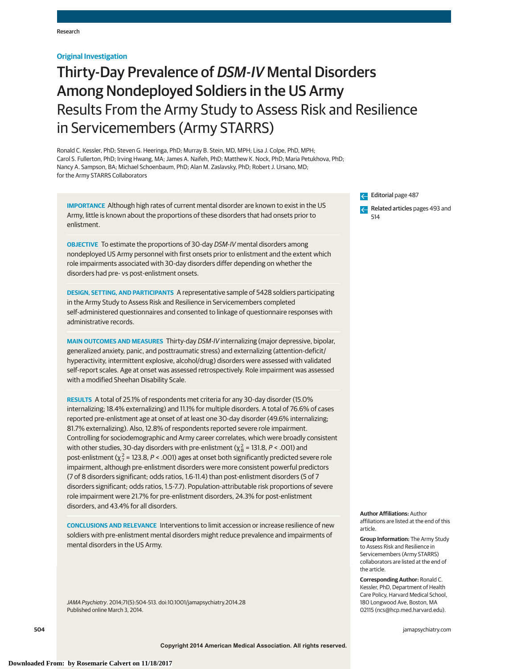# **Original Investigation**

# Thirty-Day Prevalence of DSM-IV Mental Disorders Among Nondeployed Soldiers in the US Army Results From the Army Study to Assess Risk and Resilience in Servicemembers (Army STARRS)

Ronald C. Kessler, PhD; Steven G. Heeringa, PhD; Murray B. Stein, MD, MPH; Lisa J. Colpe, PhD, MPH; Carol S. Fullerton, PhD; Irving Hwang, MA; James A. Naifeh, PhD; Matthew K. Nock, PhD; Maria Petukhova, PhD; Nancy A. Sampson, BA; Michael Schoenbaum, PhD; Alan M. Zaslavsky, PhD; Robert J. Ursano, MD; for the Army STARRS Collaborators

**IMPORTANCE** Although high rates of current mental disorder are known to exist in the US Army, little is known about the proportions of these disorders that had onsets prior to enlistment.

**OBJECTIVE** To estimate the proportions of 30-day DSM-IV mental disorders among nondeployed US Army personnel with first onsets prior to enlistment and the extent which role impairments associated with 30-day disorders differ depending on whether the disorders had pre- vs post-enlistment onsets.

**DESIGN, SETTING, AND PARTICIPANTS** A representative sample of 5428 soldiers participating in the Army Study to Assess Risk and Resilience in Servicemembers completed self-administered questionnaires and consented to linkage of questionnaire responses with administrative records.

**MAIN OUTCOMES AND MEASURES** Thirty-day DSM-IV internalizing (major depressive, bipolar, generalized anxiety, panic, and posttraumatic stress) and externalizing (attention-deficit/ hyperactivity, intermittent explosive, alcohol/drug) disorders were assessed with validated self-report scales. Age at onset was assessed retrospectively. Role impairment was assessed with a modified Sheehan Disability Scale.

**RESULTS** A total of 25.1% of respondents met criteria for any 30-day disorder (15.0% internalizing; 18.4% externalizing) and 11.1% for multiple disorders. A total of 76.6% of cases reported pre-enlistment age at onset of at least one 30-day disorder (49.6% internalizing; 81.7% externalizing). Also, 12.8% of respondents reported severe role impairment. Controlling for sociodemographic and Army career correlates, which were broadly consistent with other studies, 30-day disorders with pre-enlistment ( $\chi^2_8$  = 131.8, P < .001) and post-enlistment ( $\chi^2_{7}$  = 123.8, P < .001) ages at onset both significantly predicted severe role impairment, although pre-enlistment disorders were more consistent powerful predictors (7 of 8 disorders significant; odds ratios, 1.6-11.4) than post-enlistment disorders (5 of 7 disorders significant; odds ratios, 1.5-7.7). Population-attributable risk proportions of severe role impairment were 21.7% for pre-enlistment disorders, 24.3% for post-enlistment disorders, and 43.4% for all disorders.

**CONCLUSIONS AND RELEVANCE** Interventions to limit accession or increase resilience of new soldiers with pre-enlistment mental disorders might reduce prevalence and impairments of mental disorders in the US Army.

JAMA Psychiatry. 2014;71(5):504-513. doi:10.1001/jamapsychiatry.2014.28 Published online March 3, 2014.

Editorial page 487

Related articles pages 493 and 514

**Author Affiliations:** Author affiliations are listed at the end of this article.

**Group Information:** The Army Study to Assess Risk and Resilience in Servicemembers (Army STARRS) collaborators are listed at the end of the article.

**Corresponding Author:** Ronald C. Kessler, PhD, Department of Health Care Policy, Harvard Medical School, 180 Longwood Ave, Boston, MA 02115 (ncs@hcp.med.harvard.edu).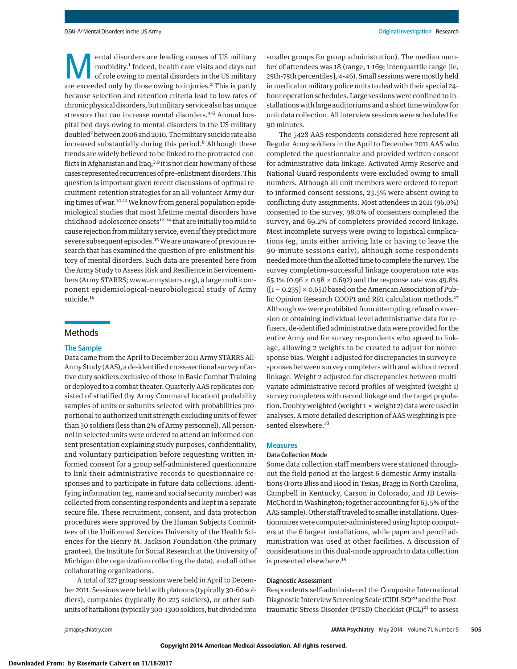**Mental disorders are leading causes of US military**<br>
morbidity.<sup>1</sup> Indeed, health care visits and days out<br>
of role owing to mental disorders in the US military<br>
are oxeoeded only by these owing to injuries  $\frac{2}{5}$  This morbidity.<sup>1</sup> Indeed, health care visits and days out are exceeded only by those owing to injuries.<sup>2</sup> This is partly because selection and retention criteria lead to low rates of chronic physical disorders, but military service also has unique stressors that can increase mental disorders.<sup>3-6</sup> Annual hospital bed days owing to mental disorders in the US military doubled<sup>7</sup> between 2006 and 2010. The military suicide rate also increased substantially during this period.<sup>8</sup> Although these trends are widely believed to be linked to the protracted conflicts in Afghanistan and Iraq,<sup>3,9</sup> it is not clear how many of these cases represented recurrences of pre-enlistment disorders. This question is important given recent discussions of optimal recruitment-retention strategies for an all-volunteer Army during times of war.<sup>10,11</sup> We know from general population epidemiological studies that most lifetime mental disorders have childhood-adolescence onsets<sup>12-14</sup> that are initially too mild to cause rejection from military service, even if they predict more severe subsequent episodes.<sup>15</sup> We are unaware of previous research that has examined the question of pre-enlistment history of mental disorders. Such data are presented here from the Army Study to Assess Risk and Resilience in Servicemembers (Army STARRS; www.armystarrs.org), a large multicomponent epidemiological-neurobiological study of Army suicide.<sup>16</sup>

# Methods

### The Sample

Data came from the April to December 2011 Army STARRS All-Army Study (AAS), a de-identified cross-sectional survey of active duty soldiers exclusive of those in Basic Combat Training or deployed to a combat theater. Quarterly AAS replicates consisted of stratified (by Army Command location) probability samples of units or subunits selected with probabilities proportional to authorized unit strength excluding units of fewer than 30 soldiers (less than 2% of Army personnel). All personnel in selected units were ordered to attend an informed consent presentation explaining study purposes, confidentiality, and voluntary participation before requesting written informed consent for a group self-administered questionnaire to link their administrative records to questionnaire responses and to participate in future data collections. Identifying information (eg, name and social security number) was collected from consenting respondents and kept in a separate secure file. These recruitment, consent, and data protection procedures were approved by the Human Subjects Committees of the Uniformed Services University of the Health Sciences for the Henry M. Jackson Foundation (the primary grantee), the Institute for Social Research at the University of Michigan (the organization collecting the data), and all other collaborating organizations.

A total of 327 group sessions were held in April to December 2011. Sessions were held with platoons (typically 30-60 soldiers), companies (typically 80-225 soldiers), or other subunits of battalions (typically 300-1300 soldiers, but divided into smaller groups for group administration). The median number of attendees was 18 (range, 1-169; interquartile range [ie, 25th-75th percentiles], 4-46). Small sessions were mostly held in medical or military police units to deal with their special 24 hour operation schedules. Large sessions were confined to installations with large auditoriums and a short time window for unit data collection. All interview sessions were scheduled for 90 minutes.

The 5428 AAS respondents considered here represent all Regular Army soldiers in the April to December 2011 AAS who completed the questionnaire and provided written consent for administrative data linkage. Activated Army Reserve and National Guard respondents were excluded owing to small numbers. Although all unit members were ordered to report to informed consent sessions, 23.5% were absent owing to conflicting duty assignments. Most attendees in 2011 (96.0%) consented to the survey, 98.0% of consenters completed the survey, and 69.2% of completers provided record linkage. Most incomplete surveys were owing to logistical complications (eg, units either arriving late or having to leave the 90-minute sessions early), although some respondents neededmore than the allotted time to complete the survey. The survey completion–successful linkage cooperation rate was 65.1% (0.96  $\times$  0.98  $\times$  0.692) and the response rate was 49.8% ([1 − 0.235] × 0.651) based on the American Association of Public Opinion Research COOP1 and RR1 calculation methods.<sup>17</sup> Although we were prohibited from attempting refusal conversion or obtaining individual-level administrative data for refusers, de-identified administrative data were provided for the entire Army and for survey respondents who agreed to linkage, allowing 2 weights to be created to adjust for nonresponse bias. Weight 1 adjusted for discrepancies in survey responses between survey completers with and without record linkage. Weight 2 adjusted for discrepancies between multivariate administrative record profiles of weighted (weight 1) survey completers with record linkage and the target population. Doubly weighted (weight 1 × weight 2) data were used in analyses. A more detailed description of AAS weighting is presented elsewhere.<sup>18</sup>

### **Measures**

### Data Collection Mode

Some data collection staff members were stationed throughout the field period at the largest 6 domestic Army installations (Forts Bliss and Hood in Texas, Bragg in North Carolina, Campbell in Kentucky, Carson in Colorado, and JB Lewis-McChord in Washington; together accounting for 63.5% of the AAS sample). Other staff traveled to smaller installations. Questionnaires were computer-administered using laptop computers at the 6 largest installations, while paper and pencil administration was used at other facilities. A discussion of considerations in this dual-mode approach to data collection is presented elsewhere.<sup>19</sup>

### Diagnostic Assessment

Respondents self-administered the Composite International Diagnostic Interview Screening Scale (CIDI-SC)<sup>20</sup> and the Posttraumatic Stress Disorder (PTSD) Checklist (PCL)<sup>21</sup> to assess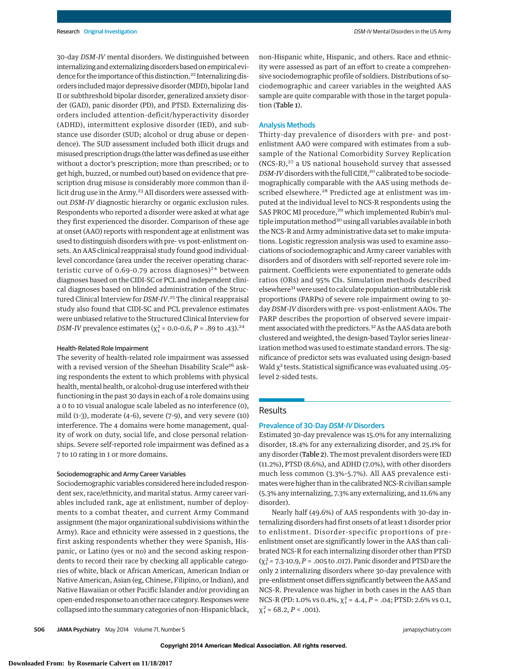30-day *DSM-IV* mental disorders. We distinguished between internalizing and externalizing disorders based on empirical evidence for the importance of this distinction.<sup>22</sup> Internalizing disorders includedmajor depressive disorder (MDD), bipolar I and II or subthreshold bipolar disorder, generalized anxiety disorder (GAD), panic disorder (PD), and PTSD. Externalizing disorders included attention-deficit/hyperactivity disorder (ADHD), intermittent explosive disorder (IED), and substance use disorder (SUD; alcohol or drug abuse or dependence). The SUD assessment included both illicit drugs and misused prescription drugs (the latter was defined as use either without a doctor's prescription; more than prescribed; or to get high, buzzed, or numbed out) based on evidence that prescription drug misuse is considerably more common than illicit drug use in the Army.<sup>23</sup> All disorders were assessed without *DSM-IV* diagnostic hierarchy or organic exclusion rules. Respondents who reported a disorder were asked at what age they first experienced the disorder. Comparison of these age at onset (AAO) reports with respondent age at enlistment was used to distinguish disorders with pre- vs post-enlistment onsets. An AAS clinical reappraisal study found good individuallevel concordance (area under the receiver operating characteristic curve of 0.69-0.79 across diagnoses)<sup>24</sup> between diagnoses based on the CIDI-SC or PCL and independent clinical diagnoses based on blinded administration of the Structured Clinical Interview for *DSM-IV*. <sup>25</sup> The clinical reappraisal study also found that CIDI-SC and PCL prevalence estimates were unbiased relative to the Structured Clinical Interview for *DSM-IV* prevalence estimates ( $\chi^2$  = 0.0-0.6, *P* = .89 to .43).<sup>24</sup>

# Health-Related Role Impairment

The severity of health-related role impairment was assessed with a revised version of the Sheehan Disability Scale<sup>26</sup> asking respondents the extent to which problems with physical health, mental health, or alcohol-drug use interfered with their functioning in the past 30 days in each of 4 role domains using a 0 to 10 visual analogue scale labeled as no interference (0), mild (1-3), moderate (4-6), severe (7-9), and very severe (10) interference. The 4 domains were home management, quality of work on duty, social life, and close personal relationships. Severe self-reported role impairment was defined as a 7 to 10 rating in 1 or more domains.

### Sociodemographic and Army Career Variables

Sociodemographic variables considered here included respondent sex, race/ethnicity, and marital status. Army career variables included rank, age at enlistment, number of deployments to a combat theater, and current Army Command assignment (the major organizational subdivisions within the Army). Race and ethnicity were assessed in 2 questions, the first asking respondents whether they were Spanish, Hispanic, or Latino (yes or no) and the second asking respondents to record their race by checking all applicable categories of white, black or African American, American Indian or Native American, Asian (eg, Chinese, Filipino, or Indian), and Native Hawaiian or other Pacific Islander and/or providing an open-ended response to an other race category.Responseswere collapsed into the summary categories of non-Hispanic black, non-Hispanic white, Hispanic, and others. Race and ethnicity were assessed as part of an effort to create a comprehensive sociodemographic profile of soldiers. Distributions of sociodemographic and career variables in the weighted AAS sample are quite comparable with those in the target population (Table 1).

# Analysis Methods

Thirty-day prevalence of disorders with pre- and postenlistment AAO were compared with estimates from a subsample of the National Comorbidity Survey Replication  $(NCS-R),<sup>27</sup>$  a US national household survey that assessed DSM-IV disorders with the full CIDI,<sup>20</sup> calibrated to be sociodemographically comparable with the AAS using methods described elsewhere.<sup>28</sup> Predicted age at enlistment was imputed at the individual level to NCS-R respondents using the SAS PROC MI procedure,<sup>29</sup> which implemented Rubin's multiple imputation method<sup>30</sup> using all variables available in both the NCS-R and Army administrative data set to make imputations. Logistic regression analysis was used to examine associations of sociodemographic and Army career variables with disorders and of disorders with self-reported severe role impairment. Coefficients were exponentiated to generate odds ratios (ORs) and 95% CIs. Simulation methods described elsewhere<sup>31</sup> were used to calculate population-attributable risk proportions (PARPs) of severe role impairment owing to 30 day *DSM-IV*disorders with pre- vs post-enlistment AAOs. The PARP describes the proportion of observed severe impairment associated with the predictors.<sup>32</sup> As the AAS data are both clustered and weighted, the design-based Taylor series linearization method was used to estimate standard errors. The significance of predictor sets was evaluated using design-based Wald  $\chi^2$  tests. Statistical significance was evaluated using .05level 2-sided tests.

### Results

### Prevalence of 30-Day DSM-IV Disorders

Estimated 30-day prevalence was 15.0% for any internalizing disorder, 18.4% for any externalizing disorder, and 25.1% for any disorder (Table 2). The most prevalent disorders were IED (11.2%), PTSD (8.6%), and ADHD (7.0%), with other disorders much less common (3.3%-5.7%). All AAS prevalence estimates were higher than in the calibrated NCS-R civilian sample (5.3% any internalizing, 7.3% any externalizing, and 11.6% any disorder).

Nearly half (49.6%) of AAS respondents with 30-day internalizing disorders had first onsets of at least 1 disorder prior to enlistment. Disorder-specific proportions of preenlistment onset are significantly lower in the AAS than calibrated NCS-R for each internalizing disorder other than PTSD (χ<sup>2</sup> <sup>1</sup> = 7.3-10.9,*P* = .005 to .017). Panic disorder and PTSD are the only 2 internalizing disorders where 30-day prevalence with pre-enlistment onset differs significantly between the AAS and NCS-R. Prevalence was higher in both cases in the AAS than NCS-R (PD: 1.0% vs 0.4%,  $\chi_1^2$  = 4.4, *P* = .04; PTSD: 2.6% vs 0.1,  $\chi_1^2$  = 68.2, *P* < .001).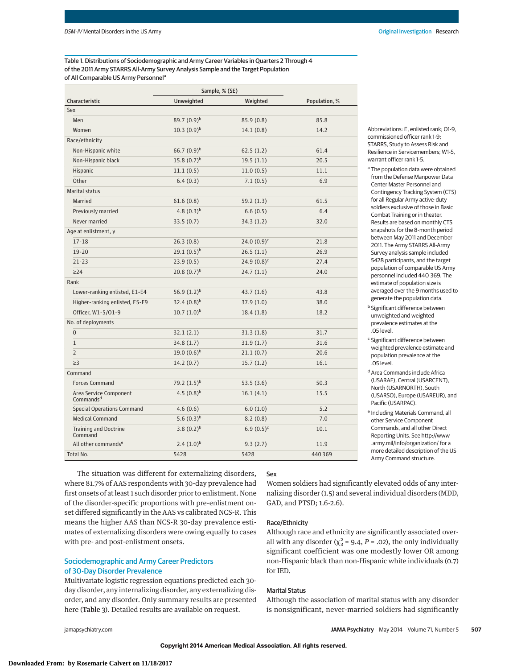# Table 1. Distributions of Sociodemographic and Army Career Variables in Quarters 2 Through 4 of the 2011 Army STARRS All-Army Survey Analysis Sample and the Target Population of All Comparable US Army Personnel<sup>a</sup>

|                                                 | Sample, % (SE)          |                |               |  |
|-------------------------------------------------|-------------------------|----------------|---------------|--|
| Characteristic                                  | Unweighted              | Weighted       | Population, % |  |
| Sex                                             |                         |                |               |  |
| Men                                             | 89.7 $(0.9)^b$          | 85.9(0.8)      | 85.8          |  |
| Women                                           | $10.3(0.9)^{b}$         | 14.1(0.8)      | 14.2          |  |
| Race/ethnicity                                  |                         |                |               |  |
| Non-Hispanic white                              | 66.7 $(0.9)^{b}$        | 62.5(1.2)      | 61.4          |  |
| Non-Hispanic black                              | $15.8(0.7)^{b}$         | 19.5(1.1)      | 20.5          |  |
| Hispanic                                        | 11.1(0.5)               | 11.0(0.5)      | 11.1          |  |
| Other                                           | 6.4(0.3)                | 7.1(0.5)       | 6.9           |  |
| <b>Marital status</b>                           |                         |                |               |  |
| <b>Married</b>                                  | 61.6(0.8)               | 59.2(1.3)      | 61.5          |  |
| Previously married                              | 4.8 $(0.3)^b$           | 6.6(0.5)       | 6.4           |  |
| Never married                                   | 33.5(0.7)               | 34.3(1.2)      | 32.0          |  |
| Age at enlistment, y                            |                         |                |               |  |
| $17 - 18$                                       | 26.3(0.8)               | 24.0 $(0.9)^c$ | 21.8          |  |
| $19 - 20$                                       | $29.1(0.5)^{b}$         | 26.5(1.1)      | 26.9          |  |
| $21 - 23$                                       | 23.9(0.5)               | 24.9 $(0.8)^c$ | 27.4          |  |
| $\geq$ 24                                       | $20.8(0.7)^{b}$         | 24.7(1.1)      | 24.0          |  |
| Rank                                            |                         |                |               |  |
| Lower-ranking enlisted, E1-E4                   | 56.9 (1.2) <sup>b</sup> | 43.7(1.6)      | 43.8          |  |
| Higher-ranking enlisted, E5-E9                  | 32.4 $(0.8)^{b}$        | 37.9(1.0)      | 38.0          |  |
| Officer, W1-5/01-9                              | $10.7(1.0)^{b}$         | 18.4(1.8)      | 18.2          |  |
| No. of deployments                              |                         |                |               |  |
| $\mathbf 0$                                     | 32.1(2.1)               | 31.3(1.8)      | 31.7          |  |
| $\mathbf{1}$                                    | 34.8(1.7)               | 31.9(1.7)      | 31.6          |  |
| $\overline{2}$                                  | 19.0 $(0.6)^b$          | 21.1(0.7)      | 20.6          |  |
| $\geq$ 3                                        | 14.2(0.7)               | 15.7(1.2)      | 16.1          |  |
| Command                                         |                         |                |               |  |
| <b>Forces Command</b>                           | 79.2 $(1.5)^{b}$        | 53.5(3.6)      | 50.3          |  |
| Area Service Component<br>Commands <sup>d</sup> | 4.5 $(0.8)^{b}$         | 16.1(4.1)      | 15.5          |  |
| <b>Special Operations Command</b>               | 4.6(0.6)                | 6.0(1.0)       | 5.2           |  |
| <b>Medical Command</b>                          | 5.6 $(0.3)^b$           | 8.2(0.8)       | 7.0           |  |
| <b>Training and Doctrine</b><br>Command         | 3.8 $(0.2)^{b}$         | 6.9 $(0.5)^c$  | 10.1          |  |
| All other commands <sup>e</sup>                 | $2.4(1.0)^{b}$          | 9.3(2.7)       | 11.9          |  |
| Total No.                                       | 5428                    | 5428           | 440 369       |  |

Abbreviations: E, enlisted rank; O1-9, commissioned officer rank 1-9; STARRS, Study to Assess Risk and Resilience in Servicemembers; W1-5, warrant officer rank 1-5.

- <sup>a</sup> The population data were obtained from the Defense Manpower Data Center Master Personnel and Contingency Tracking System (CTS) for all Regular Army active-duty soldiers exclusive of those in Basic Combat Training or in theater. Results are based on monthly CTS snapshots for the 8-month period between May 2011 and December 2011. The Army STARRS All-Army Survey analysis sample included 5428 participants, and the target population of comparable US Army personnel included 440 369. The estimate of population size is averaged over the 9 months used to generate the population data.
- <sup>b</sup> Significant difference between unweighted and weighted prevalence estimates at the .05 level.
- <sup>c</sup> Significant difference between weighted prevalence estimate and population prevalence at the .05 level.
- <sup>d</sup> Area Commands include Africa (USARAF), Central (USARCENT), North (USARNORTH), South (USARSO), Europe (USAREUR), and Pacific (USARPAC).
- <sup>e</sup> Including Materials Command, all other Service Component Commands, and all other Direct Reporting Units. See http://www .army.mil/info/organization/ for a more detailed description of the US Army Command structure.

The situation was different for externalizing disorders, where 81.7% of AAS respondents with 30-day prevalence had first onsets of at least 1 such disorder prior to enlistment. None of the disorder-specific proportions with pre-enlistment onset differed significantly in the AAS vs calibrated NCS-R. This means the higher AAS than NCS-R 30-day prevalence estimates of externalizing disorders were owing equally to cases with pre- and post-enlistment onsets.

# Sociodemographic and Army Career Predictors of 30-Day Disorder Prevalence

Multivariate logistic regression equations predicted each 30 day disorder, any internalizing disorder, any externalizing disorder, and any disorder. Only summary results are presented here (Table 3). Detailed results are available on request.

# Sex

Women soldiers had significantly elevated odds of any internalizing disorder (1.5) and several individual disorders (MDD, GAD, and PTSD; 1.6-2.6).

### Race/Ethnicity

Although race and ethnicity are significantly associated overall with any disorder  $(\chi^2$  = 9.4, *P* = .02), the only individually significant coefficient was one modestly lower OR among non-Hispanic black than non-Hispanic white individuals (0.7) for IED.

# Marital Status

Although the association of marital status with any disorder is nonsignificant, never-married soldiers had significantly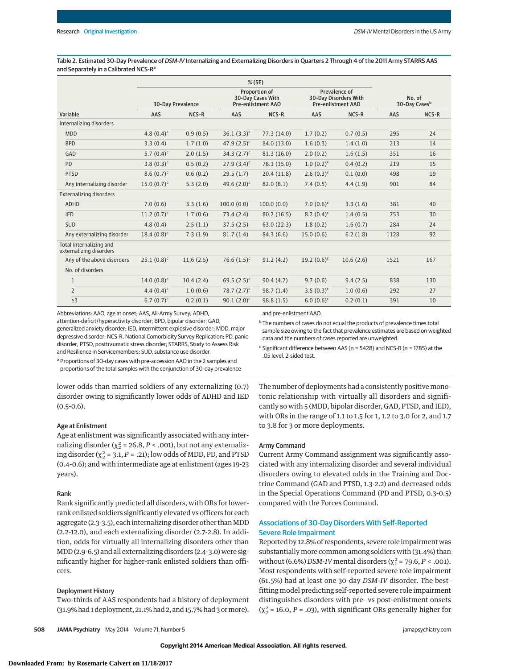Table 2. Estimated 30-Day Prevalence of DSM-IV Internalizing and Externalizing Disorders in Quarters 2 Through 4 of the 2011 Army STARRS AAS and Separately in a Calibrated NCS-R<sup>a</sup>

| $%$ (SE)                                           |                |                          |                                                                        |             |                                                                            |           |                                     |       |
|----------------------------------------------------|----------------|--------------------------|------------------------------------------------------------------------|-------------|----------------------------------------------------------------------------|-----------|-------------------------------------|-------|
|                                                    |                | <b>30-Day Prevalence</b> | <b>Proportion of</b><br>30-Day Cases With<br><b>Pre-enlistment AAO</b> |             | <b>Prevalence of</b><br>30-Day Disorders With<br><b>Pre-enlistment AAO</b> |           | No. of<br>30-Day Cases <sup>b</sup> |       |
| Variable                                           | AAS            | NCS-R                    | AAS                                                                    | NCS-R       | AAS                                                                        | NCS-R     | AAS                                 | NCS-R |
| Internalizing disorders                            |                |                          |                                                                        |             |                                                                            |           |                                     |       |
| <b>MDD</b>                                         | 4.8 $(0.4)^c$  | 0.9(0.5)                 | $36.1(3.3)^c$                                                          | 77.3 (14.0) | 1.7(0.2)                                                                   | 0.7(0.5)  | 295                                 | 24    |
| <b>BPD</b>                                         | 3.3(0.4)       | 1.7(1.0)                 | 47.9 $(2.5)^c$                                                         | 84.0 (13.0) | 1.6(0.3)                                                                   | 1.4(1.0)  | 213                                 | 14    |
| GAD                                                | 5.7 $(0.4)^c$  | 2.0(1.5)                 | 34.3 $(2.7)^c$                                                         | 81.3(16.0)  | 2.0(0.2)                                                                   | 1.6(1.5)  | 351                                 | 16    |
| PD                                                 | 3.8 $(0.3)^c$  | 0.5(0.2)                 | $27.9(3.4)^c$                                                          | 78.1 (15.0) | $1.0(0.2)^c$                                                               | 0.4(0.2)  | 219                                 | 15    |
| <b>PTSD</b>                                        | $8.6(0.7)^c$   | 0.6(0.2)                 | 29.5(1.7)                                                              | 20.4(11.8)  | $2.6(0.3)^c$                                                               | 0.1(0.0)  | 498                                 | 19    |
| Any internalizing disorder                         | $15.0(0.7)^c$  | 5.3(2.0)                 | 49.6 $(2.0)^c$                                                         | 82.0(8.1)   | 7.4(0.5)                                                                   | 4.4(1.9)  | 901                                 | 84    |
| <b>Externalizing disorders</b>                     |                |                          |                                                                        |             |                                                                            |           |                                     |       |
| <b>ADHD</b>                                        | 7.0(0.6)       | 3.3(1.6)                 | 100.0(0.0)                                                             | 100.0(0.0)  | 7.0 $(0.6)^c$                                                              | 3.3(1.6)  | 381                                 | 40    |
| <b>IED</b>                                         | 11.2 $(0.7)^c$ | 1.7(0.6)                 | 73.4(2.4)                                                              | 80.2(16.5)  | 8.2 $(0.4)^c$                                                              | 1.4(0.5)  | 753                                 | 30    |
| <b>SUD</b>                                         | 4.8(0.4)       | 2.5(1.1)                 | 37.5(2.5)                                                              | 63.0(22.3)  | 1.8(0.2)                                                                   | 1.6(0.7)  | 284                                 | 24    |
| Any externalizing disorder                         | $18.4(0.8)^c$  | 7.3(1.9)                 | 81.7(1.4)                                                              | 84.3(6.6)   | 15.0(0.6)                                                                  | 6.2(1.8)  | 1128                                | 92    |
| Total internalizing and<br>externalizing disorders |                |                          |                                                                        |             |                                                                            |           |                                     |       |
| Any of the above disorders                         | $25.1(0.8)^c$  | 11.6(2.5)                | 76.6 $(1.5)^c$                                                         | 91.2(4.2)   | 19.2 $(0.6)^c$                                                             | 10.6(2.6) | 1521                                | 167   |
| No. of disorders                                   |                |                          |                                                                        |             |                                                                            |           |                                     |       |
| $\mathbf{1}$                                       | 14.0 $(0.8)^c$ | 10.4(2.4)                | 69.5 $(2.5)^c$                                                         | 90.4(4.7)   | 9.7(0.6)                                                                   | 9.4(2.5)  | 838                                 | 130   |
| $\overline{2}$                                     | 4.4 $(0.4)^c$  | 1.0(0.6)                 | 78.7 $(2.7)^c$                                                         | 98.7(1.4)   | 3.5 $(0.3)^c$                                                              | 1.0(0.6)  | 292                                 | 27    |
| $\geq$ 3                                           | 6.7 $(0.7)^c$  | 0.2(0.1)                 | 90.1 $(2.0)^c$                                                         | 98.8(1.5)   | $6.0(0.6)^c$                                                               | 0.2(0.1)  | 391                                 | 10    |

Abbreviations: AAO, age at onset; AAS, All-Army Survey; ADHD,

attention-deficit/hyperactivity disorder; BPD, bipolar disorder; GAD, generalized anxiety disorder; IED, intermittent explosive disorder; MDD, major depressive disorder; NCS-R, National Comorbidity Survey Replication; PD, panic disorder; PTSD, posttraumatic stress disorder; STARRS, Study to Assess Risk and Resilience in Servicemembers; SUD, substance use disorder.

a Proportions of 30-day cases with pre-accession AAO in the 2 samples and proportions of the total samples with the conjunction of 30-day prevalence

lower odds than married soldiers of any externalizing (0.7) disorder owing to significantly lower odds of ADHD and IED  $(0.5 - 0.6)$ .

# Age at Enlistment

Age at enlistment was significantly associated with any internalizing disorder ( $\chi^2$  = 26.8, *P* < .001), but not any externalizing disorder ( $\chi^2$  = 3.1, *P* = .21); low odds of MDD, PD, and PTSD (0.4-0.6); and with intermediate age at enlistment (ages 19-23 years).

## Rank

Rank significantly predicted all disorders, with ORs for lowerrank enlisted soldiers significantly elevated vs officers for each aggregate (2.3-3.5), each internalizing disorder other than MDD (2.2-12.0), and each externalizing disorder (2.7-2.8). In addition, odds for virtually all internalizing disorders other than MDD (2.9-6.5) and all externalizing disorders (2.4-3.0) were significantly higher for higher-rank enlisted soldiers than officers.

# Deployment History

Two-thirds of AAS respondents had a history of deployment (31.9% had 1 deployment, 21.1% had 2, and 15.7% had 3 ormore). and pre-enlistment AAO.

<sup>b</sup> The numbers of cases do not equal the products of prevalence times total sample size owing to the fact that prevalence estimates are based on weighted data and the numbers of cases reported are unweighted.

 $c$  Significant difference between AAS (n = 5428) and NCS-R (n = 1785) at the .05 level, 2-sided test.

The number of deployments had a consistently positive monotonic relationship with virtually all disorders and significantly so with 5 (MDD, bipolar disorder, GAD, PTSD, and IED), with ORs in the range of 1.1 to 1.5 for 1, 1.2 to 3.0 for 2, and 1.7 to 3.8 for 3 or more deployments.

### Army Command

Current Army Command assignment was significantly associated with any internalizing disorder and several individual disorders owing to elevated odds in the Training and Doctrine Command (GAD and PTSD, 1.3-2.2) and decreased odds in the Special Operations Command (PD and PTSD, 0.3-0.5) compared with the Forces Command.

# Associations of 30-Day Disorders With Self-Reported Severe Role Impairment

Reported by 12.8% of respondents, severe role impairment was substantially more common among soldiers with (31.4%) than without (6.6%) *DSM-IV* mental disorders ( $\chi_1^2$  = 79.6, *P* < .001). Most respondents with self-reported severe role impairment (61.5%) had at least one 30-day *DSM-IV* disorder. The bestfitting model predicting self-reported severe role impairment distinguishes disorders with pre- vs post-enlistment onsets  $(\chi^2$  = 16.0, *P* = .03), with significant ORs generally higher for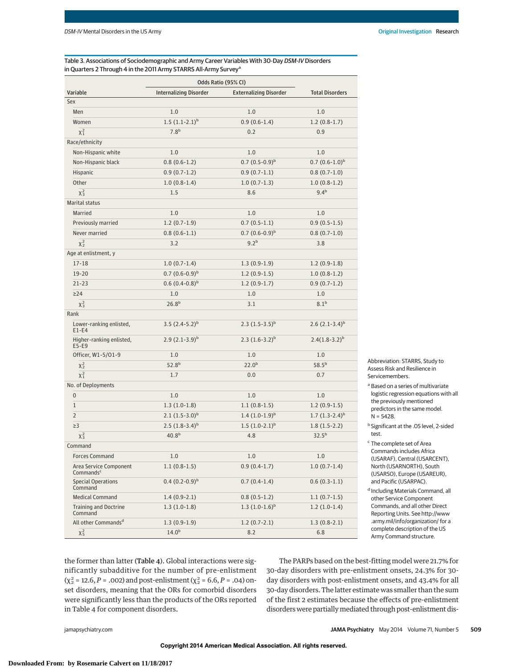Table 3. Associations of Sociodemographic and Army Career Variables With 30-Day DSM-IV Disorders in Quarters 2 Through 4 in the 2011 Army STARRS All-Army Survey<sup>a</sup>

|                                                 | Odds Ratio (95% CI)           |                               |                        |  |
|-------------------------------------------------|-------------------------------|-------------------------------|------------------------|--|
| Variable                                        | <b>Internalizing Disorder</b> | <b>Externalizing Disorder</b> | <b>Total Disorders</b> |  |
| Sex                                             |                               |                               |                        |  |
| Men                                             | 1.0                           | 1.0                           | 1.0                    |  |
| Women                                           | $1.5(1.1-2.1)^{b}$            | $0.9(0.6-1.4)$                | $1.2(0.8-1.7)$         |  |
| $\chi_1^2$                                      | 7.8 <sup>b</sup>              | 0.2                           | 0.9                    |  |
| Race/ethnicity                                  |                               |                               |                        |  |
| Non-Hispanic white                              | 1.0                           | 1.0                           | 1.0                    |  |
| Non-Hispanic black                              | $0.8(0.6-1.2)$                | $0.7(0.5-0.9)^{b}$            | $0.7(0.6-1.0)^{b}$     |  |
| Hispanic                                        | $0.9(0.7-1.2)$                | $0.9(0.7-1.1)$                | $0.8(0.7-1.0)$         |  |
| Other                                           | $1.0(0.8-1.4)$                | $1.0(0.7-1.3)$                | $1.0(0.8-1.2)$         |  |
| $X^2$                                           | 1.5                           | 8.6                           | 9.4 <sup>b</sup>       |  |
| Marital status                                  |                               |                               |                        |  |
| <b>Married</b>                                  | 1.0                           | 1.0                           | 1.0                    |  |
| Previously married                              | $1.2(0.7-1.9)$                | $0.7(0.5-1.1)$                | $0.9(0.5-1.5)$         |  |
| Never married                                   | $0.8(0.6-1.1)$                | $0.7(0.6-0.9)^{b}$            | $0.8(0.7-1.0)$         |  |
| $\chi^2$                                        | 3.2                           | $9.2^{b}$                     | 3.8                    |  |
| Age at enlistment, y                            |                               |                               |                        |  |
| $17 - 18$                                       | $1.0(0.7-1.4)$                | $1.3(0.9-1.9)$                | $1.2(0.9-1.8)$         |  |
| $19 - 20$                                       | $0.7(0.6-0.9)^{b}$            | $1.2(0.9-1.5)$                | $1.0(0.8-1.2)$         |  |
| $21 - 23$                                       | $0.6(0.4-0.8)^{b}$            | $1.2(0.9-1.7)$                | $0.9(0.7-1.2)$         |  |
| $\geq$ 24                                       | 1.0                           | 1.0                           | 1.0                    |  |
| $X^2_3$                                         | 26.8 <sup>b</sup>             | 3.1                           | 8.1 <sup>b</sup>       |  |
| Rank                                            |                               |                               |                        |  |
| Lower-ranking enlisted,<br>$E1-E4$              | 3.5 $(2.4-5.2)^{b}$           | $2.3(1.5-3.5)^{b}$            | 2.6 $(2.1-3.4)^{b}$    |  |
| Higher-ranking enlisted,<br>$E5-E9$             | $2.9(2.1-3.9)^{b}$            | 2.3 $(1.6-3.2)^b$             | $2.4(1.8-3.2)^{b}$     |  |
| Officer, W1-5/01-9                              | 1.0                           | 1.0                           | 1.0                    |  |
| $\chi^2$                                        | 52.8 <sup>b</sup>             | 22.0 <sup>b</sup>             | $58.5^{b}$             |  |
| $\chi_1^2$                                      | 1.7                           | 0.0                           | 0.7                    |  |
| No. of Deployments                              |                               |                               |                        |  |
| $\mathbf{0}$                                    | 1.0                           | 1.0                           | 1.0                    |  |
| $\mathbf{1}$                                    | $1.3(1.0-1.8)$                | $1.1(0.8-1.5)$                | $1.2(0.9-1.5)$         |  |
| $\overline{2}$                                  | $2.1 (1.5 - 3.0)^b$           | 1.4 $(1.0-1.9)^{b}$           | 1.7 $(1.3-2.4)^{b}$    |  |
| $\geq$ 3                                        | 2.5 $(1.8-3.4)^{b}$           | $1.5(1.0-2.1)^{b}$            | $1.8(1.5-2.2)$         |  |
| $\chi^2$                                        | 40.8 <sup>b</sup>             | 4.8                           | $32.5^{b}$             |  |
| Command                                         |                               |                               |                        |  |
| <b>Forces Command</b>                           | 1.0                           | 1.0                           | 1.0                    |  |
| Area Service Component<br>Commands <sup>c</sup> | $1.1(0.8-1.5)$                | $0.9(0.4-1.7)$                | $1.0(0.7-1.4)$         |  |
| <b>Special Operations</b><br>Command            | $0.4(0.2-0.9)^{b}$            | $0.7(0.4-1.4)$                | $0.6(0.3-1.1)$         |  |
| <b>Medical Command</b>                          | $1.4(0.9-2.1)$                | $0.8(0.5-1.2)$                | $1.1(0.7-1.5)$         |  |
| <b>Training and Doctrine</b><br>Command         | $1.3(1.0-1.8)$                | 1.3 $(1.0-1.6)^b$             | $1.2(1.0-1.4)$         |  |
| All other Commands <sup>d</sup>                 | $1.3(0.9-1.9)$                | $1.2(0.7-2.1)$                | $1.3(0.8-2.1)$         |  |
| $X_5^2$                                         | 14.0 <sup>b</sup>             | 8.2                           | 6.8                    |  |

Abbreviation: STARRS, Study to Assess Risk and Resilience in Servicemembers.

<sup>a</sup> Based on a series of multivariate logistic regression equations with all the previously mentioned predictors in the same model. N = 5428.

<sup>b</sup> Significant at the .05 level, 2-sided test.

<sup>c</sup> The complete set of Area Commands includes Africa (USARAF), Central (USARCENT), North (USARNORTH), South (USARSO), Europe (USAREUR), and Pacific (USARPAC).

<sup>d</sup> Including Materials Command, all other Service Component Commands, and all other Direct Reporting Units. See http://www .army.mil/info/organization/ for a complete description of the US Army Command structure.

the former than latter (Table 4). Global interactions were significantly subadditive for the number of pre-enlistment  $(\chi^2_2 = 12.6, P = .002)$  and post-enlistment ( $\chi^2_2 = 6.6, P = .04$ ) onset disorders, meaning that the ORs for comorbid disorders were significantly less than the products of the ORs reported in Table 4 for component disorders.

The PARPs based on the best-fitting model were 21.7% for 30-day disorders with pre-enlistment onsets, 24.3% for 30 day disorders with post-enlistment onsets, and 43.4% for all 30-day disorders. The latter estimate was smaller than the sum of the first 2 estimates because the effects of pre-enlistment disorders were partiallymediated through post-enlistment dis-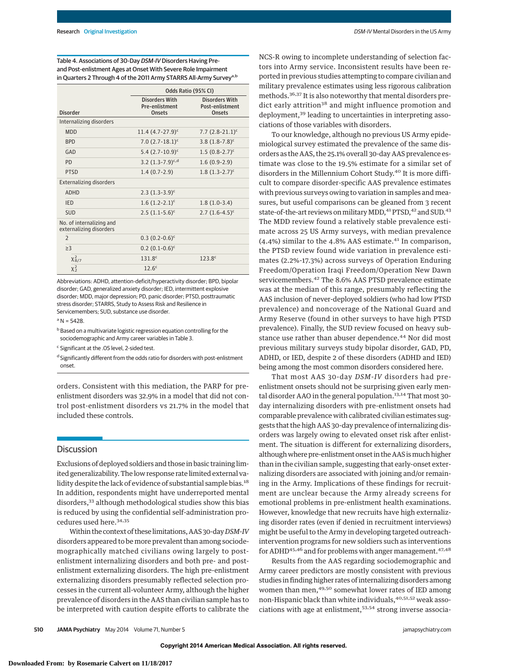Table 4. Associations of 30-Day DSM-IV Disorders Having Preand Post-enlistment Ages at Onset With Severe Role Impairment in Quarters 2 Through 4 of the 2011 Army STARRS All-Army Survey<sup>a,b</sup>

|                                                     | Odds Ratio (95% CI)                               |                                                    |  |
|-----------------------------------------------------|---------------------------------------------------|----------------------------------------------------|--|
| <b>Disorder</b>                                     | Disorders With<br>Pre-enlistment<br><b>Onsets</b> | <b>Disorders With</b><br>Post-enlistment<br>Onsets |  |
| Internalizing disorders                             |                                                   |                                                    |  |
| <b>MDD</b>                                          | $11.4(4.7-27.9)^c$                                | 7.7 $(2.8-21.1)^c$                                 |  |
| <b>BPD</b>                                          | 7.0 $(2.7 - 18.1)^c$                              | 3.8 $(1.8-7.8)^c$                                  |  |
| GAD                                                 | $5.4$ $(2.7 - 10.9)^c$                            | $1.5(0.8-2.7)^c$                                   |  |
| <b>PD</b>                                           | 3.2 $(1.3-7.9)^{c,d}$                             | $1.6(0.9-2.9)$                                     |  |
| <b>PTSD</b>                                         | $1.4(0.7-2.9)$                                    | $1.8(1.3-2.7)^c$                                   |  |
| <b>Externalizing disorders</b>                      |                                                   |                                                    |  |
| <b>ADHD</b>                                         | 2.3 $(1.3-3.9)^c$                                 |                                                    |  |
| <b>IED</b>                                          | $1.6(1.2-2.1)^c$                                  | $1.8(1.0-3.4)$                                     |  |
| <b>SUD</b>                                          | $2.5(1.1-5.6)^c$                                  | $2.7(1.6-4.5)^c$                                   |  |
| No. of internalizing and<br>externalizing disorders |                                                   |                                                    |  |
| $\overline{2}$                                      | $0.3(0.2-0.6)^c$                                  |                                                    |  |
| >3                                                  | $0.2 (0.1 - 0.6)^c$                               |                                                    |  |
| $\chi^{2}_{8/7}$                                    | 131.8 <sup>c</sup>                                | $123.8^{c}$                                        |  |
| $\chi^2$                                            | 12.6 <sup>c</sup>                                 |                                                    |  |

Abbreviations: ADHD, attention-deficit/hyperactivity disorder; BPD, bipolar disorder; GAD, generalized anxiety disorder; IED, intermittent explosive disorder; MDD, major depression; PD, panic disorder; PTSD, posttraumatic stress disorder; STARRS, Study to Assess Risk and Resilience in Servicemembers; SUD, substance use disorder.

 $a$  N = 5428.

<sup>c</sup> Significant at the .05 level, 2-sided test.

d Significantly different from the odds ratio for disorders with post-enlistment onset.

orders. Consistent with this mediation, the PARP for preenlistment disorders was 32.9% in a model that did not control post-enlistment disorders vs 21.7% in the model that included these controls.

# **Discussion**

Exclusions of deployed soldiers and those in basic training limited generalizability. The low response rate limited external validity despite the lack of evidence of substantial sample bias.<sup>18</sup> In addition, respondents might have underreported mental disorders,<sup>33</sup> although methodological studies show this bias is reduced by using the confidential self-administration procedures used here.34,35

Within the context of these limitations, AAS 30-day*DSM-IV* disorders appeared to be more prevalent than among sociodemographically matched civilians owing largely to postenlistment internalizing disorders and both pre- and postenlistment externalizing disorders. The high pre-enlistment externalizing disorders presumably reflected selection processes in the current all-volunteer Army, although the higher prevalence of disorders in the AAS than civilian sample has to be interpreted with caution despite efforts to calibrate the NCS-R owing to incomplete understanding of selection factors into Army service. Inconsistent results have been reported in previous studies attempting to compare civilian and military prevalence estimates using less rigorous calibration methods.36,37 It is also noteworthy that mental disorders predict early attrition<sup>38</sup> and might influence promotion and deployment,<sup>39</sup> leading to uncertainties in interpreting associations of those variables with disorders.

To our knowledge, although no previous US Army epidemiological survey estimated the prevalence of the same disorders as the AAS, the 25.1% overall 30-day AAS prevalence estimate was close to the 19.5% estimate for a similar set of disorders in the Millennium Cohort Study.<sup>40</sup> It is more difficult to compare disorder-specific AAS prevalence estimates with previous surveys owing to variation in samples and measures, but useful comparisons can be gleaned from 3 recent state-of-the-art reviews on military MDD,<sup>41</sup> PTSD,<sup>42</sup> and SUD.<sup>43</sup> The MDD review found a relatively stable prevalence estimate across 25 US Army surveys, with median prevalence (4.4%) similar to the 4.8% AAS estimate.<sup>41</sup> In comparison, the PTSD review found wide variation in prevalence estimates (2.2%-17.3%) across surveys of Operation Enduring Freedom/Operation Iraqi Freedom/Operation New Dawn servicemembers.42 The 8.6% AAS PTSD prevalence estimate was at the median of this range, presumably reflecting the AAS inclusion of never-deployed soldiers (who had low PTSD prevalence) and noncoverage of the National Guard and Army Reserve (found in other surveys to have high PTSD prevalence). Finally, the SUD review focused on heavy substance use rather than abuser dependence.<sup>44</sup> Nor did most previous military surveys study bipolar disorder, GAD, PD, ADHD, or IED, despite 2 of these disorders (ADHD and IED) being among the most common disorders considered here.

That most AAS 30-day *DSM-IV* disorders had preenlistment onsets should not be surprising given early mental disorder AAO in the general population.<sup>13,14</sup> That most 30day internalizing disorders with pre-enlistment onsets had comparable prevalence with calibrated civilian estimates suggests that the high AAS 30-day prevalence of internalizing disorders was largely owing to elevated onset risk after enlistment. The situation is different for externalizing disorders, although where pre-enlistment onset in the AAS is much higher than in the civilian sample, suggesting that early-onset externalizing disorders are associated with joining and/or remaining in the Army. Implications of these findings for recruitment are unclear because the Army already screens for emotional problems in pre-enlistment health examinations. However, knowledge that new recruits have high externalizing disorder rates (even if denied in recruitment interviews) might be useful to the Army in developing targeted outreachintervention programs for new soldiers such as interventions for ADHD<sup>45,46</sup> and for problems with anger management.<sup>47,48</sup>

Results from the AAS regarding sociodemographic and Army career predictors are mostly consistent with previous studies in finding higher rates of internalizing disorders among women than men,<sup>49,50</sup> somewhat lower rates of IED among non-Hispanic black than white individuals, 40,51,52 weak associations with age at enlistment,<sup>53,54</sup> strong inverse associa-

 $b$  Based on a multivariate logistic regression equation controlling for the sociodemographic and Army career variables in Table 3.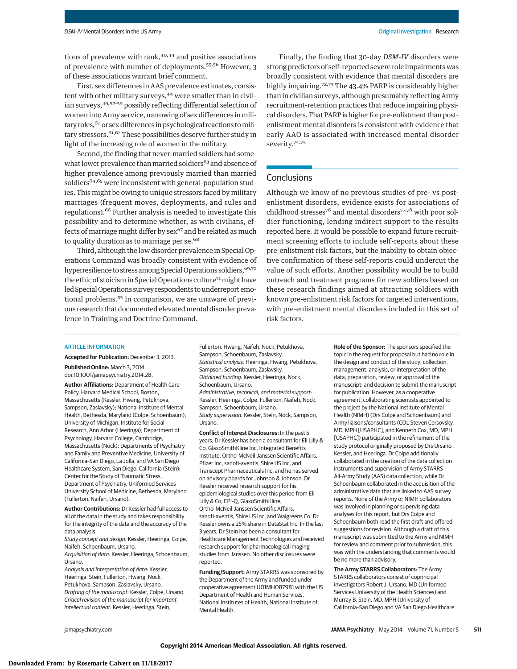tions of prevalence with rank, $40,44$  and positive associations of prevalence with number of deployments.55,56 However, 3 of these associations warrant brief comment.

First, sex differences in AAS prevalence estimates, consistent with other military surveys,<sup>44</sup> were smaller than in civilian surveys, 49,57-59 possibly reflecting differential selection of women into Army service, narrowing of sex differences inmilitary roles, <sup>60</sup> or sex differences in psychological reactions to military stressors.<sup>61,62</sup> These possibilities deserve further study in light of the increasing role of women in the military.

Second, the finding that never-married soldiers had somewhat lower prevalence than married soldiers<sup>63</sup> and absence of higher prevalence among previously married than married soldiers<sup>64,65</sup> were inconsistent with general-population studies. This might be owing to unique stressors faced by military marriages (frequent moves, deployments, and rules and regulations).66 Further analysis is needed to investigate this possibility and to determine whether, as with civilians, effects of marriage might differ by  $sex^{67}$  and be related as much to quality duration as to marriage per se.<sup>68</sup>

Third, although the low disorder prevalence in Special Operations Command was broadly consistent with evidence of hyperresilience to stress among Special Operations soldiers, <sup>69,70</sup> the ethic of stoicism in Special Operations culture<sup>71</sup> might have led Special Operations survey respondents to underreport emotional problems.<sup>55</sup> In comparison, we are unaware of previous research that documented elevated mental disorder prevalence in Training and Doctrine Command.

Finally, the finding that 30-day *DSM-IV* disorders were strong predictors of self-reported severe role impairments was broadly consistent with evidence that mental disorders are highly impairing.<sup>72,73</sup> The 43.4% PARP is considerably higher than in civilian surveys, although presumably reflecting Army recruitment-retention practices that reduce impairing physical disorders. That PARP is higher for pre-enlistment than postenlistment mental disorders is consistent with evidence that early AAO is associated with increased mental disorder severity.<sup>74,75</sup>

# Conclusions

Although we know of no previous studies of pre- vs postenlistment disorders, evidence exists for associations of childhood stresses<sup>76</sup> and mental disorders<sup>77,78</sup> with poor soldier functioning, lending indirect support to the results reported here. It would be possible to expand future recruitment screening efforts to include self-reports about these pre-enlistment risk factors, but the inability to obtain objective confirmation of these self-reports could undercut the value of such efforts. Another possibility would be to build outreach and treatment programs for new soldiers based on these research findings aimed at attracting soldiers with known pre-enlistment risk factors for targeted interventions, with pre-enlistment mental disorders included in this set of risk factors.

### **ARTICLE INFORMATION**

**Accepted for Publication:** December 3, 2013.

**Published Online:** March 3, 2014. doi:10.1001/jamapsychiatry.2014.28.

**Author Affiliations:** Department of Health Care Policy, Harvard Medical School, Boston, Massachusetts (Kessler, Hwang, Petukhova, Sampson, Zaslavsky); National Institute of Mental Health, Bethesda, Maryland (Colpe, Schoenbaum); University of Michigan, Institute for Social Research, Ann Arbor (Heeringa); Department of Psychology, Harvard College, Cambridge, Massachusetts (Nock); Departments of Psychiatry and Family and Preventive Medicine, University of California–San Diego, La Jolla, and VA San Diego Healthcare System, San Diego, California (Stein); Center for the Study of Traumatic Stress, Department of Psychiatry, Uniformed Services University School of Medicine, Bethesda, Maryland (Fullerton, Naifeh, Ursano).

**Author Contributions:** Dr Kessler had full access to all of the data in the study and takes responsibility for the integrity of the data and the accuracy of the data analysis.

Study concept and design: Kessler, Heeringa, Colpe, Naifeh, Schoenbaum, Ursano.

Acquisition of data: Kessler, Heeringa, Schoenbaum, Ursano.

Analysis and interpretation of data: Kessler, Heeringa, Stein, Fullerton, Hwang, Nock, Petukhova, Sampson, Zaslavsky, Ursano. Drafting of the manuscript: Kessler, Colpe, Ursano. Critical revision of the manuscript for important intellectual content: Kessler, Heeringa, Stein,

Fullerton, Hwang, Naifeh, Nock, Petukhova, Sampson, Schoenbaum, Zaslavsky. Statistical analysis: Heeringa, Hwang, Petukhova, Sampson, Schoenbaum, Zaslavsky. Obtained funding: Kessler, Heeringa, Nock, Schoenbaum, Ursano. Administrative, technical, and material support: Kessler, Heeringa, Colpe, Fullerton, Naifeh, Nock, Sampson, Schoenbaum, Ursano. Study supervision: Kessler, Stein, Nock, Sampson, Ursano.

**Conflict of Interest Disclosures:** In the past 5 years, Dr Kessler has been a consultant for Eli Lilly & Co, GlaxoSmithKline Inc, Integrated Benefits Institute, Ortho-McNeil-Janssen Scientific Affairs, Pfizer Inc, sanofi-aventis, Shire US Inc, and Transcept Pharmaceuticals Inc, and he has served on advisory boards for Johnson & Johnson. Dr Kessler received research support for his epidemiological studies over this period from Eli Lilly & Co, EPI-Q, GlaxoSmithKline, Ortho-McNeil-Janssen Scientific Affairs, sanofi-aventis, Shire US Inc, and Walgreens Co. Dr Kessler owns a 25% share in DataStat Inc. In the last 3 years, Dr Stein has been a consultant for Healthcare Management Technologies and received research support for pharmacological imaging studies from Janssen. No other disclosures were reported.

**Funding/Support:** Army STARRS was sponsored by the Department of the Army and funded under cooperative agreement U01MH087981 with the US Department of Health and Human Services, National Institutes of Health, National Institute of Mental Health.

**Role of the Sponsor:** The sponsors specified the topic in the request for proposal but had no role in the design and conduct of the study; collection, management, analysis, or interpretation of the data; preparation, review, or approval of the manuscript; and decision to submit the manuscript for publication. However, as a cooperative agreement, collaborating scientists appointed to the project by the National Institute of Mental Health (NIMH) (Drs Colpe and Schoenbaum) and Army liaisons/consultants (COL Steven Cersovsky, MD, MPH [USAPHC], and Kenneth Cox, MD, MPH [USAPHC]) participated in the refinement of the study protocol originally proposed by Drs Ursano, Kessler, and Heeringa. Dr Colpe additionally collaborated in the creation of the data collection instruments and supervision of Army STARRS All-Army Study (AAS) data collection, while Dr Schoenbaum collaborated in the acquisition of the administrative data that are linked to AAS survey reports. None of the Army or NIMH collaborators was involved in planning or supervising data analyses for this report, but Drs Colpe and Schoenbaum both read the first draft and offered suggestions for revision. Although a draft of this manuscript was submitted to the Army and NIMH for review and comment prior to submission, this was with the understanding that comments would be no more than advisory.

**The Army STARRS Collaborators:** The Army STARRS collaborators consist of coprincipal investigators Robert J. Ursano, MD (Uniformed Services University of the Health Sciences) and Murray B. Stein, MD, MPH (University of California–San Diego and VA San Diego Healthcare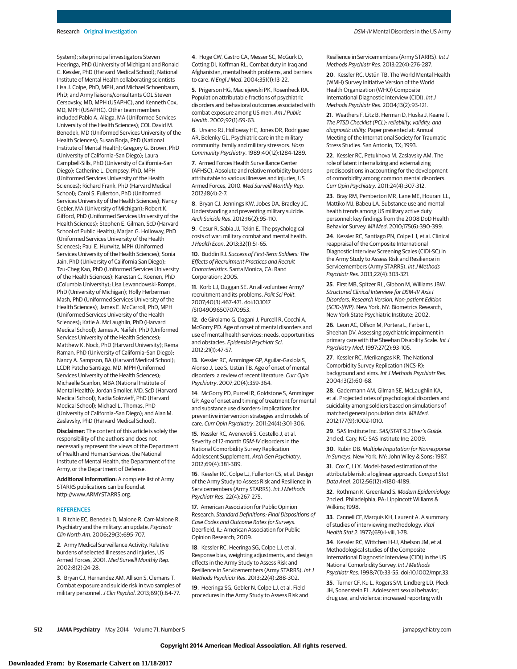System); site principal investigators Steven Heeringa, PhD (University of Michigan) and Ronald C. Kessler, PhD (Harvard Medical School); National Institute of Mental Health collaborating scientists Lisa J. Colpe, PhD, MPH, and Michael Schoenbaum, PhD; and Army liaisons/consultants COL Steven Cersovsky, MD, MPH (USAPHC), and Kenneth Cox, MD, MPH (USAPHC). Other team members included Pablo A. Aliaga, MA (Uniformed Services University of the Health Sciences); COL David M. Benedek, MD (Uniformed Services University of the Health Sciences); Susan Borja, PhD (National Institute of Mental Health); Gregory G. Brown, PhD (University of California–San Diego); Laura Campbell-Sills, PhD (University of California–San Diego); Catherine L. Dempsey, PhD, MPH (Uniformed Services University of the Health Sciences); Richard Frank, PhD (Harvard Medical School); Carol S. Fullerton, PhD (Uniformed Services University of the Health Sciences); Nancy Gebler, MA (University of Michigan); Robert K. Gifford, PhD (Uniformed Services University of the Health Sciences); Stephen E. Gilman, ScD (Harvard School of Public Health); Marjan G. Holloway, PhD (Uniformed Services University of the Health Sciences); Paul E. Hurwitz, MPH (Uniformed Services University of the Health Sciences); Sonia Jain, PhD (University of California San Diego); Tzu-Cheg Kao, PhD (Uniformed Services University of the Health Sciences); Karestan C. Koenen, PhD (Columbia University); Lisa Lewandowski-Romps, PhD (University of Michigan); Holly Herberman Mash, PhD (Uniformed Services University of the Health Sciences); James E. McCarroll, PhD, MPH (Uniformed Services University of the Health Sciences); Katie A. McLaughlin, PhD (Harvard Medical School); James A. Naifeh, PhD (Uniformed Services University of the Health Sciences); Matthew K. Nock, PhD (Harvard University); Rema Raman, PhD (University of California–San Diego); Nancy A. Sampson, BA (Harvard Medical School); LCDR Patcho Santiago, MD, MPH (Uniformed Services University of the Health Sciences); Michaelle Scanlon, MBA (National Institute of Mental Health); Jordan Smoller, MD, ScD (Harvard Medical School); Nadia Solovieff, PhD (Harvard Medical School); Michael L. Thomas, PhD (University of California–San Diego); and Alan M. Zaslavsky, PhD (Harvard Medical School).

**Disclaimer:** The content of this article is solely the responsibility of the authors and does not necessarily represent the views of the Department of Health and Human Services, the National Institute of Mental Health, the Department of the Army, or the Department of Defense.

**Additional Information:** A complete list of Army STARRS publications can be found at http://www.ARMYSTARRS.org.

#### **REFERENCES**

**1**. Ritchie EC, Benedek D, Malone R, Carr-Malone R. Psychiatry and the military: an update. Psychiatr Clin North Am. 2006;29(3):695-707.

**2**. Army Medical Surveillance Activity. Relative burdens of selected illnesses and injuries, US Armed Forces, 2001. Med Surveill Monthly Rep. 2002;8(2):24-28.

**3**. Bryan CJ, Hernandez AM, Allison S, Clemans T. Combat exposure and suicide risk in two samples of military personnel. J Clin Psychol. 2013;69(1):64-77.

**4**. Hoge CW, Castro CA, Messer SC, McGurk D, Cotting DI, Koffman RL. Combat duty in Iraq and Afghanistan, mental health problems, and barriers to care. N Engl J Med. 2004;351(1):13-22.

**5**. Prigerson HG, Maciejewski PK, Rosenheck RA. Population attributable fractions of psychiatric disorders and behavioral outcomes associated with combat exposure among US men. Am J Public Health. 2002;92(1):59-63.

**6**. Ursano RJ, Holloway HC, Jones DR, Rodriguez AR, Belenky GL. Psychiatric care in the military community: family and military stressors. Hosp Community Psychiatry. 1989;40(12):1284-1289.

**7**. Armed Forces Health Surveillance Center (AFHSC). Absolute and relative morbidity burdens attributable to various illnesses and injuries, US Armed Forces, 2010. Med Surveill Monthly Rep. 2012;18(4):2-7.

**8**. Bryan CJ, Jennings KW, Jobes DA, Bradley JC. Understanding and preventing military suicide. Arch Suicide Res. 2012;16(2):95-110.

**9**. Cesur R, Sabia JJ, Tekin E. The psychological costs of war: military combat and mental health. J Health Econ. 2013;32(1):51-65.

**10**. Buddin RJ. Success of First-Term Soldiers: The Effects of Recruitment Practices and Recruit Characteristics. Santa Monica, CA: Rand Corporation; 2005.

**11**. Korb LJ, Duggan SE. An all-volunteer Army? recruitment and its problems. Polit Sci Polit. 2007;40(3):467-471. doi:10.1017 /S1049096507070953.

**12**. de Girolamo G, Dagani J, Purcell R, Cocchi A, McGorry PD. Age of onset of mental disorders and use of mental health services: needs, opportunities and obstacles. Epidemiol Psychiatr Sci. 2012;21(1):47-57.

**13**. Kessler RC, Amminger GP, Aguilar-Gaxiola S, Alonso J, Lee S, Ustün TB. Age of onset of mental disorders: a review of recent literature. Curr Opin Psychiatry. 2007;20(4):359-364.

**14**. McGorry PD, Purcell R, Goldstone S, Amminger GP. Age of onset and timing of treatment for mental and substance use disorders: implications for preventive intervention strategies and models of care. Curr Opin Psychiatry. 2011;24(4):301-306.

**15**. Kessler RC, Avenevoli S, Costello J, et al. Severity of 12-month DSM-IV disorders in the National Comorbidity Survey Replication Adolescent Supplement. Arch Gen Psychiatry. 2012;69(4):381-389.

**16**. Kessler RC, Colpe LJ, Fullerton CS, et al. Design of the Army Study to Assess Risk and Resilience in Servicemembers (Army STARRS). Int J Methods Psychiatr Res. 22(4):267-275.

**17**. American Association for Public Opinion Research. Standard Definitions: Final Dispositions of Case Codes and Outcome Rates for Surveys. Deerfield, IL: American Association for Public Opinion Research; 2009.

**18**. Kessler RC, Heeringa SG, Colpe LJ, et al. Response bias, weighting adjustments, and design effects in the Army Study to Assess Risk and Resilience in Servicemembers (Army STARRS). Int J Methods Psychiatr Res. 2013;22(4):288-302.

**19**. Heeringa SG, Gebler N, Colpe LJ, et al. Field procedures in the Army Study to Assess Risk and

Resilience in Servicemembers (Army STARRS). Int J Methods Psychiatr Res. 2013;22(4):276-287.

**20**. Kessler RC, Ustün TB. The World Mental Health (WMH) Survey Initiative Version of the World Health Organization (WHO) Composite International Diagnostic Interview (CIDI). Int J Methods Psychiatr Res. 2004;13(2):93-121.

**21**. Weathers F, Litz B, Herman D, Huska J, Keane T. The PTSD Checklist (PCL): reliability, validity, and diagnostic utility. Paper presented at: Annual Meeting of the International Society for Traumatic Stress Studies. San Antonio, TX; 1993.

**22**. Kessler RC, Petukhova M, Zaslavsky AM. The role of latent internalizing and externalizing predispositions in accounting for the development of comorbidity among common mental disorders. Curr Opin Psychiatry. 2011;24(4):307-312.

**23**. Bray RM, Pemberton MR, Lane ME, Hourani LL, Mattiko MJ, Babeu LA. Substance use and mental health trends among US military active duty personnel: key findings from the 2008 DoD Health Behavior Survey. Mil Med. 2010;175(6):390-399.

**24**. Kessler RC, Santiago PN, Colpe LJ, et al. Clinical reappraisal of the Composite International Diagnostic Interview Screening Scales (CIDI-SC) in the Army Study to Assess Risk and Resilience in Servicemembers (Army STARRS). Int J Methods Psychiatr Res. 2013;22(4):303-321.

**25**. First MB, Spitzer RL, Gibbon M, Williams JBW. Structured Clinical Interview for DSM-IV Axis I Disorders, Research Version, Non-patient Edition (SCID-I/NP). New York, NY: Biometrics Research, New York State Psychiatric Institute; 2002.

**26**. Leon AC, Olfson M, Portera L, Farber L, Sheehan DV. Assessing psychiatric impairment in primary care with the Sheehan Disability Scale. Int J Psychiatry Med. 1997;27(2):93-105.

**27**. Kessler RC, Merikangas KR. The National Comorbidity Survey Replication (NCS-R): background and aims. Int J Methods Psychiatr Res. 2004;13(2):60-68.

**28**. Gadermann AM, Gilman SE, McLaughlin KA, et al. Projected rates of psychological disorders and suicidality among soldiers based on simulations of matched general population data. Mil Med. 2012;177(9):1002-1010.

**29**. SAS Institute Inc. SAS/STAT 9.2 User's Guide. 2nd ed. Cary, NC: SAS Institute Inc; 2009.

**30**. Rubin DB. Multiple Imputation for Nonresponse in Surveys. New York, NY: John Wiley & Sons; 1987.

**31**. Cox C, Li X. Model-based estimation of the attributable risk: a loglinear approach. Comput Stat Data Anal. 2012;56(12):4180-4189.

**32**. Rothman K, Greenland S. Modern Epidemiology. 2nd ed. Philadelphia, PA: Lippincott Williams & Wilkins; 1998.

**33**. Cannell CF, Marquis KH, Laurent A. A summary of studies of interviewing methodology. Vital Health Stat 2. 1977;(69):i-viii, 1-78.

**34**. Kessler RC, Wittchen H-U, Abelson JM, et al. Methodological studies of the Composite International Diagnostic Interview (CIDI) in the US National Comorbidity Survey. Int J Methods Psychiatr Res. 1998;7(1):33-55. doi:10.1002/mpr.33.

**35**. Turner CF, Ku L, Rogers SM, Lindberg LD, Pleck JH, Sonenstein FL. Adolescent sexual behavior, drug use, and violence: increased reporting with